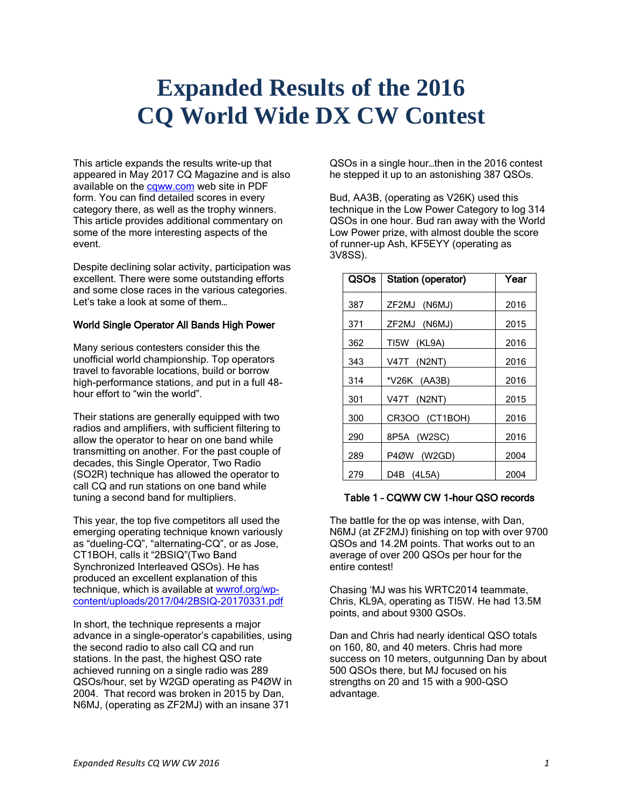# **Expanded Results of the 2016 CQ World Wide DX CW Contest**

This article expands the results write-up that appeared in May 2017 CQ Magazine and is also available on the [cqww.com](https://cqww.com/) web site in PDF form. You can find detailed scores in every category there, as well as the trophy winners. This article provides additional commentary on some of the more interesting aspects of the event.

Despite declining solar activity, participation was excellent. There were some outstanding efforts and some close races in the various categories. Let's take a look at some of them…

#### World Single Operator All Bands High Power

Many serious contesters consider this the unofficial world championship. Top operators travel to favorable locations, build or borrow high-performance stations, and put in a full 48 hour effort to "win the world".

Their stations are generally equipped with two radios and amplifiers, with sufficient filtering to allow the operator to hear on one band while transmitting on another. For the past couple of decades, this Single Operator, Two Radio (SO2R) technique has allowed the operator to call CQ and run stations on one band while tuning a second band for multipliers.

This year, the top five competitors all used the emerging operating technique known variously as "dueling-CQ", "alternating-CQ", or as Jose, CT1BOH, calls it "2BSIQ"(Two Band Synchronized Interleaved QSOs). He has produced an excellent explanation of this technique, which is available at [wwrof.org/wp](http://wwrof.org/wp-content/uploads/2017/04/2BSIQ-20170331.pdf)[content/uploads/2017/04/2BSIQ-20170331.pdf](http://wwrof.org/wp-content/uploads/2017/04/2BSIQ-20170331.pdf)

In short, the technique represents a major advance in a single-operator's capabilities, using the second radio to also call CQ and run stations. In the past, the highest QSO rate achieved running on a single radio was 289 QSOs/hour, set by W2GD operating as P4ØW in 2004. That record was broken in 2015 by Dan, N6MJ, (operating as ZF2MJ) with an insane 371

QSOs in a single hour…then in the 2016 contest he stepped it up to an astonishing 387 QSOs.

Bud, AA3B, (operating as V26K) used this technique in the Low Power Category to log 314 QSOs in one hour. Bud ran away with the World Low Power prize, with almost double the score of runner-up Ash, KF5EYY (operating as 3V8SS).

| QSOs | Station (operator) | Year |
|------|--------------------|------|
| 387  | ZF2MJ<br>(N6MJ)    | 2016 |
| 371  | ZF2MJ (N6MJ)       | 2015 |
| 362  | TI5W<br>(KL9A)     | 2016 |
| 343  | V47T (N2NT)        | 2016 |
| 314  | *V26K (AA3B)       | 2016 |
| 301  | V47T (N2NT)        | 2015 |
| 300  | CR3OO (CT1BOH)     | 2016 |
| 290  | 8P5A (W2SC)        | 2016 |
| 289  | P4ØW<br>(W2GD)     | 2004 |
| 279  | D4B (4L5A)         | 2004 |

# Table 1 – CQWW CW 1-hour QSO records

The battle for the op was intense, with Dan, N6MJ (at ZF2MJ) finishing on top with over 9700 QSOs and 14.2M points. That works out to an average of over 200 QSOs per hour for the entire contest!

Chasing 'MJ was his WRTC2014 teammate, Chris, KL9A, operating as TI5W. He had 13.5M points, and about 9300 QSOs.

Dan and Chris had nearly identical QSO totals on 160, 80, and 40 meters. Chris had more success on 10 meters, outgunning Dan by about 500 QSOs there, but MJ focused on his strengths on 20 and 15 with a 900-QSO advantage.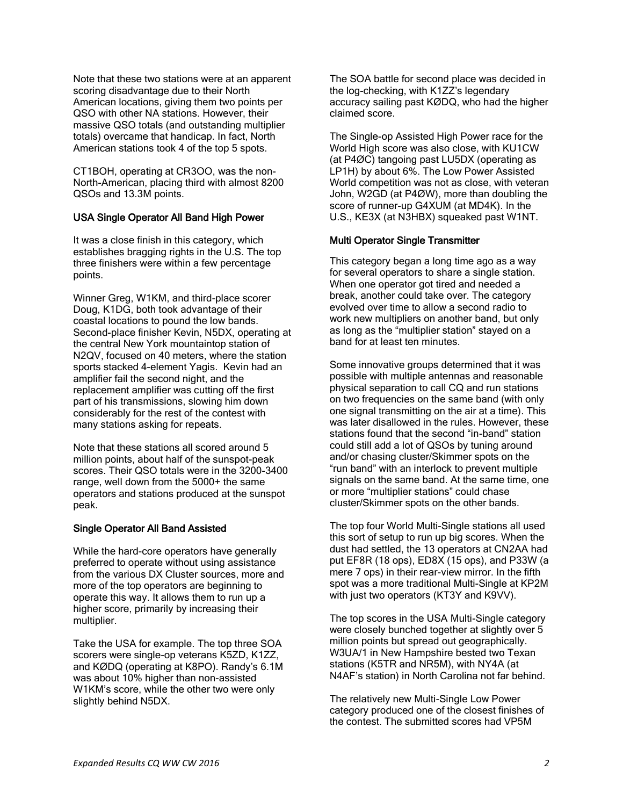Note that these two stations were at an apparent scoring disadvantage due to their North American locations, giving them two points per QSO with other NA stations. However, their massive QSO totals (and outstanding multiplier totals) overcame that handicap. In fact, North American stations took 4 of the top 5 spots.

CT1BOH, operating at CR3OO, was the non-North-American, placing third with almost 8200 QSOs and 13.3M points.

# USA Single Operator All Band High Power

It was a close finish in this category, which establishes bragging rights in the U.S. The top three finishers were within a few percentage points.

Winner Greg, W1KM, and third-place scorer Doug, K1DG, both took advantage of their coastal locations to pound the low bands. Second-place finisher Kevin, N5DX, operating at the central New York mountaintop station of N2QV, focused on 40 meters, where the station sports stacked 4-element Yagis. Kevin had an amplifier fail the second night, and the replacement amplifier was cutting off the first part of his transmissions, slowing him down considerably for the rest of the contest with many stations asking for repeats.

Note that these stations all scored around 5 million points, about half of the sunspot-peak scores. Their QSO totals were in the 3200-3400 range, well down from the 5000+ the same operators and stations produced at the sunspot peak.

# Single Operator All Band Assisted

While the hard-core operators have generally preferred to operate without using assistance from the various DX Cluster sources, more and more of the top operators are beginning to operate this way. It allows them to run up a higher score, primarily by increasing their multiplier.

Take the USA for example. The top three SOA scorers were single-op veterans K5ZD, K1ZZ, and KØDQ (operating at K8PO). Randy's 6.1M was about 10% higher than non-assisted W1KM's score, while the other two were only slightly behind N5DX.

The SOA battle for second place was decided in the log-checking, with K1ZZ's legendary accuracy sailing past KØDQ, who had the higher claimed score.

The Single-op Assisted High Power race for the World High score was also close, with KU1CW (at P4ØC) tangoing past LU5DX (operating as LP1H) by about 6%. The Low Power Assisted World competition was not as close, with veteran John, W2GD (at P4ØW), more than doubling the score of runner-up G4XUM (at MD4K). In the U.S., KE3X (at N3HBX) squeaked past W1NT.

# Multi Operator Single Transmitter

This category began a long time ago as a way for several operators to share a single station. When one operator got tired and needed a break, another could take over. The category evolved over time to allow a second radio to work new multipliers on another band, but only as long as the "multiplier station" stayed on a band for at least ten minutes.

Some innovative groups determined that it was possible with multiple antennas and reasonable physical separation to call CQ and run stations on two frequencies on the same band (with only one signal transmitting on the air at a time). This was later disallowed in the rules. However, these stations found that the second "in-band" station could still add a lot of QSOs by tuning around and/or chasing cluster/Skimmer spots on the "run band" with an interlock to prevent multiple signals on the same band. At the same time, one or more "multiplier stations" could chase cluster/Skimmer spots on the other bands.

The top four World Multi-Single stations all used this sort of setup to run up big scores. When the dust had settled, the 13 operators at CN2AA had put EF8R (18 ops), ED8X (15 ops), and P33W (a mere 7 ops) in their rear-view mirror. In the fifth spot was a more traditional Multi-Single at KP2M with just two operators (KT3Y and K9VV).

The top scores in the USA Multi-Single category were closely bunched together at slightly over 5 million points but spread out geographically. W3UA/1 in New Hampshire bested two Texan stations (K5TR and NR5M), with NY4A (at N4AF's station) in North Carolina not far behind.

The relatively new Multi-Single Low Power category produced one of the closest finishes of the contest. The submitted scores had VP5M